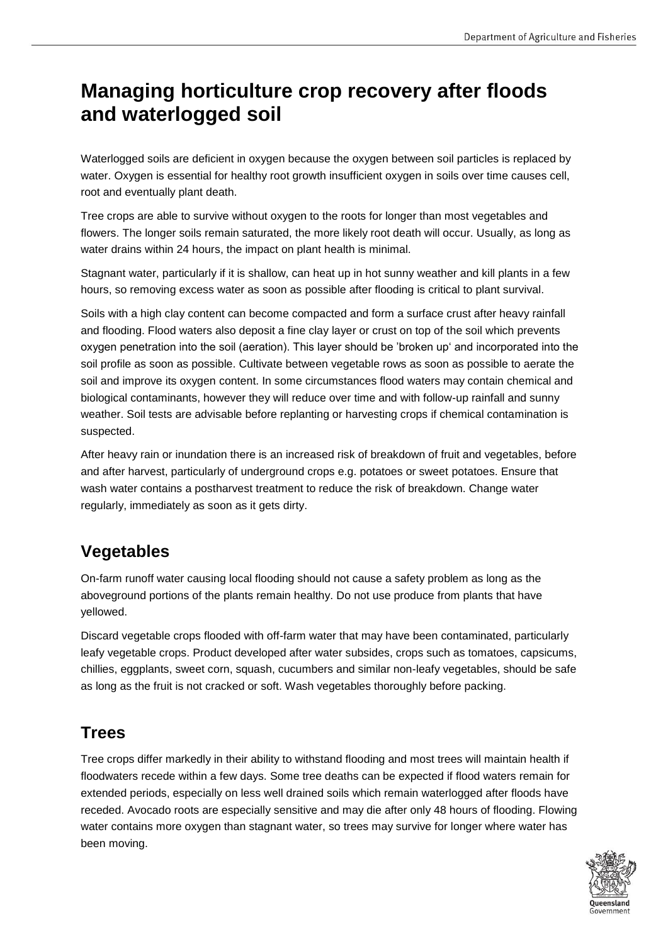# **Managing horticulture crop recovery after floods and waterlogged soil**

Waterlogged soils are deficient in oxygen because the oxygen between soil particles is replaced by water. Oxygen is essential for healthy root growth insufficient oxygen in soils over time causes cell, root and eventually plant death.

Tree crops are able to survive without oxygen to the roots for longer than most vegetables and flowers. The longer soils remain saturated, the more likely root death will occur. Usually, as long as water drains within 24 hours, the impact on plant health is minimal.

Stagnant water, particularly if it is shallow, can heat up in hot sunny weather and kill plants in a few hours, so removing excess water as soon as possible after flooding is critical to plant survival.

Soils with a high clay content can become compacted and form a surface crust after heavy rainfall and flooding. Flood waters also deposit a fine clay layer or crust on top of the soil which prevents oxygen penetration into the soil (aeration). This layer should be 'broken up' and incorporated into the soil profile as soon as possible. Cultivate between vegetable rows as soon as possible to aerate the soil and improve its oxygen content. In some circumstances flood waters may contain chemical and biological contaminants, however they will reduce over time and with follow-up rainfall and sunny weather. Soil tests are advisable before replanting or harvesting crops if chemical contamination is suspected.

After heavy rain or inundation there is an increased risk of breakdown of fruit and vegetables, before and after harvest, particularly of underground crops e.g. potatoes or sweet potatoes. Ensure that wash water contains a postharvest treatment to reduce the risk of breakdown. Change water regularly, immediately as soon as it gets dirty.

# **Vegetables**

On-farm runoff water causing local flooding should not cause a safety problem as long as the aboveground portions of the plants remain healthy. Do not use produce from plants that have yellowed.

Discard vegetable crops flooded with off-farm water that may have been contaminated, particularly leafy vegetable crops. Product developed after water subsides, crops such as tomatoes, capsicums, chillies, eggplants, sweet corn, squash, cucumbers and similar non-leafy vegetables, should be safe as long as the fruit is not cracked or soft. Wash vegetables thoroughly before packing.

# **Trees**

Tree crops differ markedly in their ability to withstand flooding and most trees will maintain health if floodwaters recede within a few days. Some tree deaths can be expected if flood waters remain for extended periods, especially on less well drained soils which remain waterlogged after floods have receded. Avocado roots are especially sensitive and may die after only 48 hours of flooding. Flowing water contains more oxygen than stagnant water, so trees may survive for longer where water has been moving.

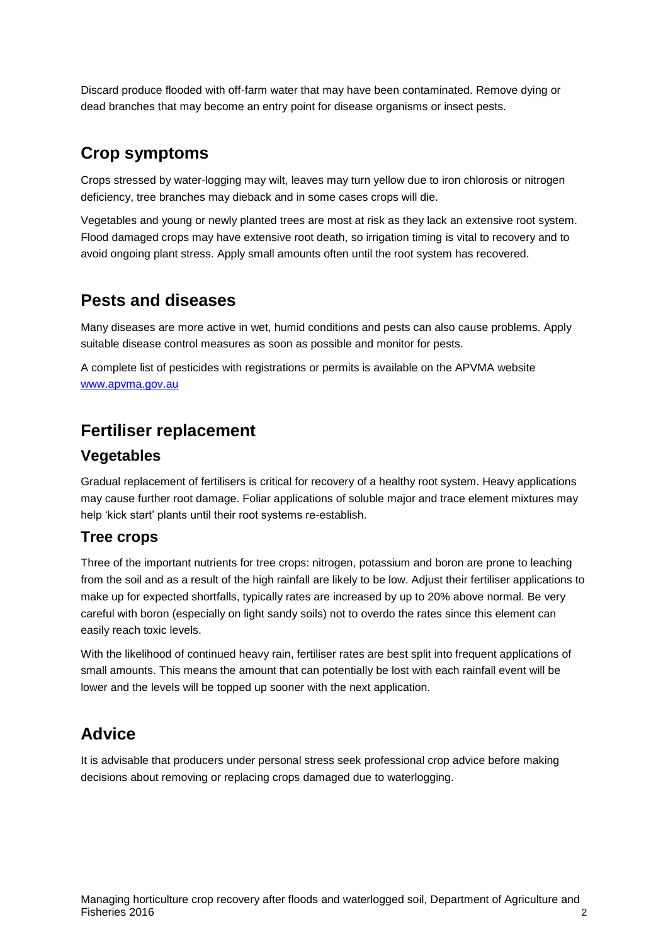Discard produce flooded with off-farm water that may have been contaminated. Remove dying or dead branches that may become an entry point for disease organisms or insect pests.

### **Crop symptoms**

Crops stressed by water-logging may wilt, leaves may turn yellow due to iron chlorosis or nitrogen deficiency, tree branches may dieback and in some cases crops will die.

Vegetables and young or newly planted trees are most at risk as they lack an extensive root system. Flood damaged crops may have extensive root death, so irrigation timing is vital to recovery and to avoid ongoing plant stress. Apply small amounts often until the root system has recovered.

# **Pests and diseases**

Many diseases are more active in wet, humid conditions and pests can also cause problems. Apply suitable disease control measures as soon as possible and monitor for pests.

A complete list of pesticides with registrations or permits is available on the APVMA website [www.apvma.gov.au](http://www.apvma.gov.au/) 

### **Fertiliser replacement**

#### **Vegetables**

Gradual replacement of fertilisers is critical for recovery of a healthy root system. Heavy applications may cause further root damage. Foliar applications of soluble major and trace element mixtures may help 'kick start' plants until their root systems re-establish.

#### **Tree crops**

Three of the important nutrients for tree crops: nitrogen, potassium and boron are prone to leaching from the soil and as a result of the high rainfall are likely to be low. Adjust their fertiliser applications to make up for expected shortfalls, typically rates are increased by up to 20% above normal. Be very careful with boron (especially on light sandy soils) not to overdo the rates since this element can easily reach toxic levels.

With the likelihood of continued heavy rain, fertiliser rates are best split into frequent applications of small amounts. This means the amount that can potentially be lost with each rainfall event will be lower and the levels will be topped up sooner with the next application.

# **Advice**

It is advisable that producers under personal stress seek professional crop advice before making decisions about removing or replacing crops damaged due to waterlogging.